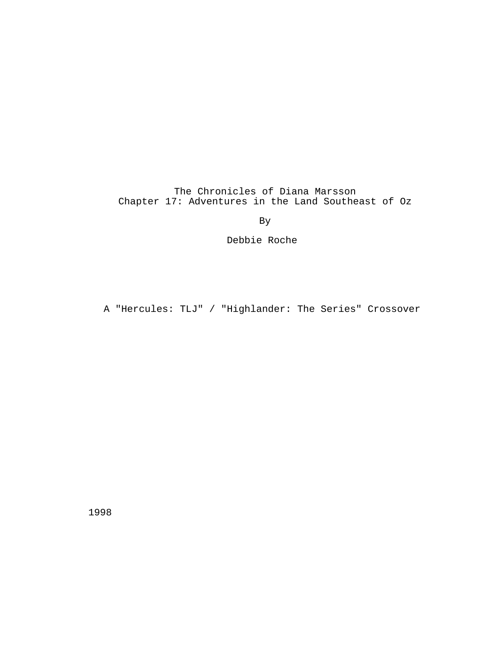The Chronicles of Diana Marsson Chapter 17: Adventures in the Land Southeast of Oz

By

Debbie Roche

A "Hercules: TLJ" / "Highlander: The Series" Crossover

1998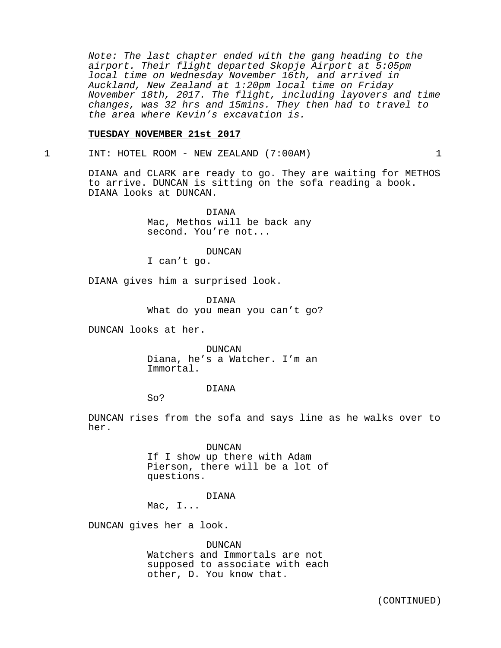Note: The last chapter ended with the gang heading to the airport. Their flight departed Skopje Airport at 5:05pm local time on Wednesday November 16th, and arrived in Auckland, New Zealand at 1:20pm local time on Friday November 18th, 2017. The flight, including layovers and time changes, was 32 hrs and 15mins. They then had to travel to the area where Kevin's excavation is.

### **TUESDAY NOVEMBER 21st 2017**

1 INT: HOTEL ROOM - NEW ZEALAND (7:00AM) 1

DIANA and CLARK are ready to go. They are waiting for METHOS to arrive. DUNCAN is sitting on the sofa reading a book. DIANA looks at DUNCAN.

> DIANA Mac, Methos will be back any second. You're not...

#### DUNCAN

I can't go.

DIANA gives him a surprised look.

DIANA What do you mean you can't go?

DUNCAN looks at her.

DUNCAN Diana, he's a Watcher. I'm an Immortal.

#### DIANA

So?

DUNCAN rises from the sofa and says line as he walks over to her.

> DUNCAN If I show up there with Adam Pierson, there will be a lot of questions.

#### DIANA

Mac, I...

DUNCAN gives her a look.

### DUNCAN

Watchers and Immortals are not supposed to associate with each other, D. You know that.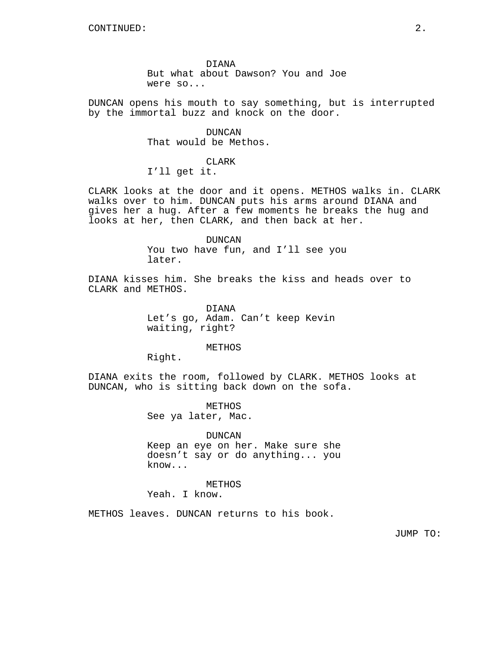DIANA But what about Dawson? You and Joe were so...

DUNCAN opens his mouth to say something, but is interrupted by the immortal buzz and knock on the door.

> DUNCAN That would be Methos.

# CLARK

I'll get it.

CLARK looks at the door and it opens. METHOS walks in. CLARK walks over to him. DUNCAN puts his arms around DIANA and gives her a hug. After a few moments he breaks the hug and looks at her, then CLARK, and then back at her.

> DUNCAN You two have fun, and I'll see you later.

DIANA kisses him. She breaks the kiss and heads over to CLARK and METHOS.

> DIANA Let's go, Adam. Can't keep Kevin waiting, right?

> > METHOS

Right.

DIANA exits the room, followed by CLARK. METHOS looks at DUNCAN, who is sitting back down on the sofa.

> METHOS See ya later, Mac.

> > DUNCAN

Keep an eye on her. Make sure she doesn't say or do anything... you know...

METHOS Yeah. I know.

METHOS leaves. DUNCAN returns to his book.

JUMP TO: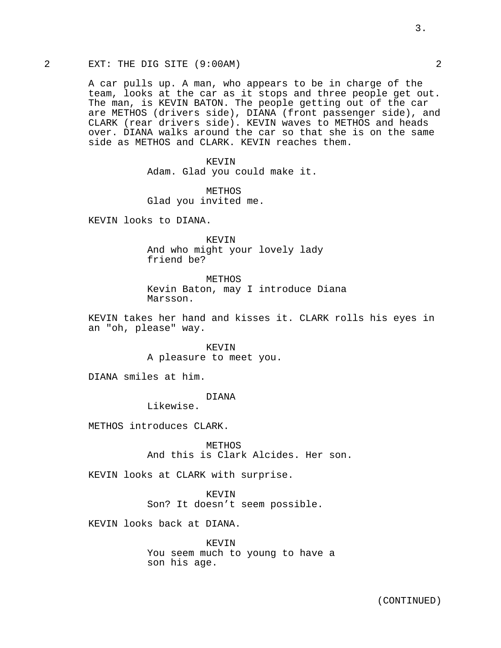### 2 EXT: THE DIG SITE (9:00AM) 2

A car pulls up. A man, who appears to be in charge of the team, looks at the car as it stops and three people get out. The man, is KEVIN BATON. The people getting out of the car are METHOS (drivers side), DIANA (front passenger side), and CLARK (rear drivers side). KEVIN waves to METHOS and heads over. DIANA walks around the car so that she is on the same side as METHOS and CLARK. KEVIN reaches them.

> KEVIN Adam. Glad you could make it.

METHOS Glad you invited me.

KEVIN looks to DIANA.

KEVIN And who might your lovely lady friend be?

METHOS

Kevin Baton, may I introduce Diana Marsson.

KEVIN takes her hand and kisses it. CLARK rolls his eyes in an "oh, please" way.

> KEVIN A pleasure to meet you.

DIANA smiles at him.

## DIANA

Likewise.

METHOS introduces CLARK.

**METHOS** And this is Clark Alcides. Her son.

KEVIN looks at CLARK with surprise.

KEVIN Son? It doesn't seem possible.

KEVIN looks back at DIANA.

KEVIN You seem much to young to have a son his age.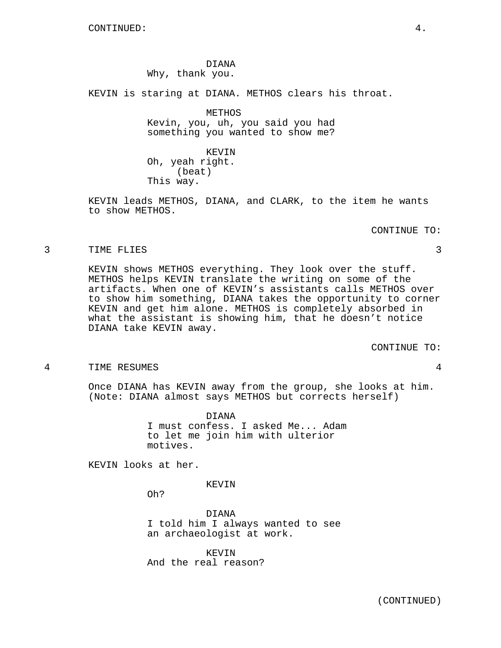### DIANA Why, thank you.

KEVIN is staring at DIANA. METHOS clears his throat.

METHOS Kevin, you, uh, you said you had something you wanted to show me?

KEVIN Oh, yeah right. (beat) This way.

KEVIN leads METHOS, DIANA, and CLARK, to the item he wants to show METHOS.

#### CONTINUE TO:

### 3 TIME FLIES 3

KEVIN shows METHOS everything. They look over the stuff. METHOS helps KEVIN translate the writing on some of the artifacts. When one of KEVIN's assistants calls METHOS over to show him something, DIANA takes the opportunity to corner KEVIN and get him alone. METHOS is completely absorbed in what the assistant is showing him, that he doesn't notice DIANA take KEVIN away.

CONTINUE TO:

### 4 TIME RESUMES 4

Once DIANA has KEVIN away from the group, she looks at him. (Note: DIANA almost says METHOS but corrects herself)

> DIANA I must confess. I asked Me... Adam to let me join him with ulterior motives.

KEVIN looks at her.

KEVIN

Oh?

DIANA I told him I always wanted to see an archaeologist at work.

KEVIN And the real reason?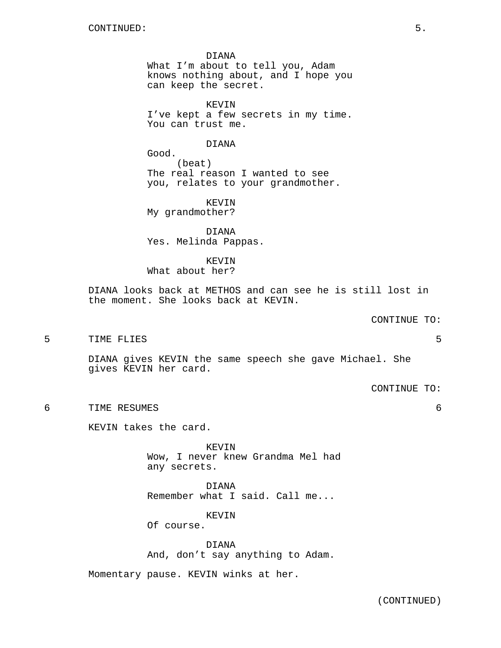DIANA What I'm about to tell you, Adam knows nothing about, and I hope you can keep the secret.

KEVIN I've kept a few secrets in my time. You can trust me.

#### DIANA

Good. (beat) The real reason I wanted to see you, relates to your grandmother.

KEVIN My grandmother?

DIANA Yes. Melinda Pappas.

KEVIN What about her?

DIANA looks back at METHOS and can see he is still lost in the moment. She looks back at KEVIN.

CONTINUE TO:

5 TIME FLIES 5

DIANA gives KEVIN the same speech she gave Michael. She gives KEVIN her card.

CONTINUE TO:

6 TIME RESUMES 6

KEVIN takes the card.

KEVIN Wow, I never knew Grandma Mel had any secrets.

DIANA Remember what I said. Call me...

KEVIN

Of course.

DIANA And, don't say anything to Adam.

Momentary pause. KEVIN winks at her.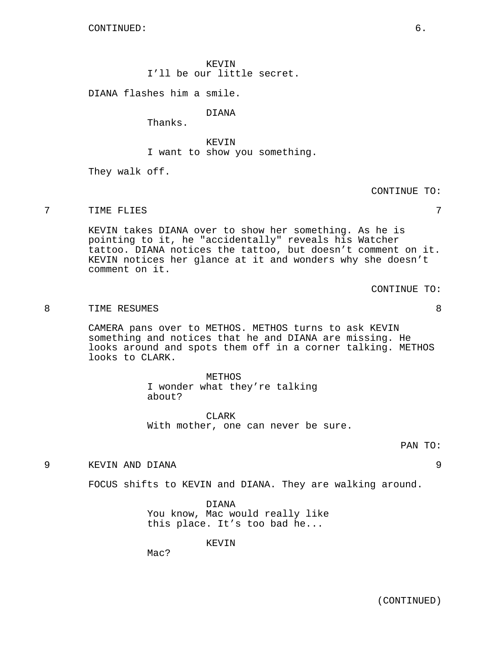KEVIN I'll be our little secret.

DIANA flashes him a smile.

DIANA

Thanks.

KEVIN

I want to show you something.

They walk off.

CONTINUE TO:

7 TIME FLIES 7

KEVIN takes DIANA over to show her something. As he is pointing to it, he "accidentally" reveals his Watcher tattoo. DIANA notices the tattoo, but doesn't comment on it. KEVIN notices her glance at it and wonders why she doesn't comment on it.

CONTINUE TO:

8 TIME RESUMES 8

CAMERA pans over to METHOS. METHOS turns to ask KEVIN something and notices that he and DIANA are missing. He looks around and spots them off in a corner talking. METHOS looks to CLARK.

> METHOS I wonder what they're talking about?

CLARK With mother, one can never be sure.

PAN TO:

9 KEVIN AND DIANA 9

FOCUS shifts to KEVIN and DIANA. They are walking around.

DIANA You know, Mac would really like this place. It's too bad he...

KEVIN

Mac?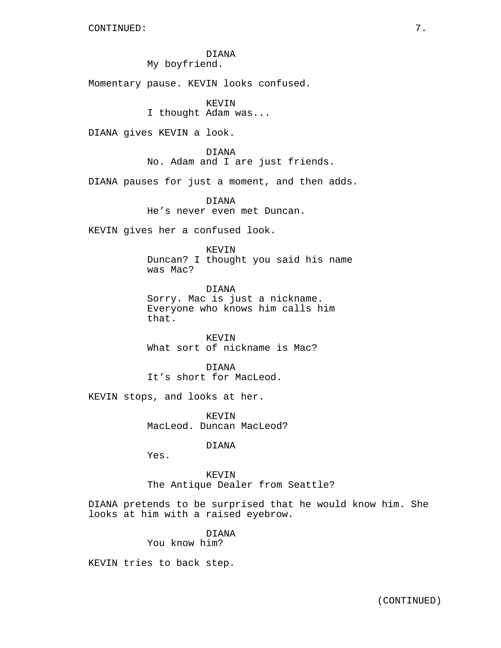DIANA My boyfriend.

Momentary pause. KEVIN looks confused.

KEVIN I thought Adam was...

DIANA gives KEVIN a look.

DIANA No. Adam and I are just friends.

DIANA pauses for just a moment, and then adds.

DIANA He's never even met Duncan.

KEVIN gives her a confused look.

KEVIN

Duncan? I thought you said his name was Mac?

DIANA Sorry. Mac is just a nickname. Everyone who knows him calls him that.

KEVIN What sort of nickname is Mac?

DIANA It's short for MacLeod.

KEVIN stops, and looks at her.

KEVIN MacLeod. Duncan MacLeod?

DIANA

Yes.

KEVIN The Antique Dealer from Seattle?

DIANA pretends to be surprised that he would know him. She looks at him with a raised eyebrow.

> DIANA You know him?

KEVIN tries to back step.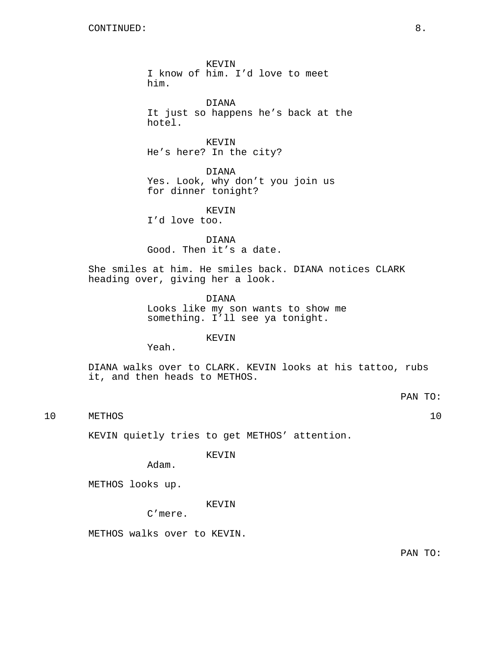KEVIN I know of him. I'd love to meet him.

DIANA It just so happens he's back at the hotel.

KEVIN He's here? In the city?

DIANA Yes. Look, why don't you join us for dinner tonight?

KEVIN

I'd love too.

DIANA Good. Then it's a date.

She smiles at him. He smiles back. DIANA notices CLARK heading over, giving her a look.

> DIANA Looks like my son wants to show me something. I'll see ya tonight.

> > KEVIN

Yeah.

DIANA walks over to CLARK. KEVIN looks at his tattoo, rubs it, and then heads to METHOS.

PAN TO:

10 METHOS 10

KEVIN quietly tries to get METHOS' attention.

KEVIN

Adam.

METHOS looks up.

KEVIN

C'mere.

METHOS walks over to KEVIN.

PAN TO: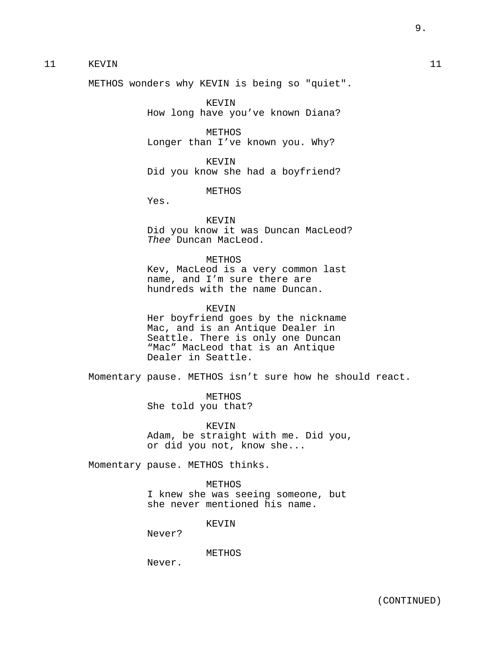## 11 KEVIN 11

METHOS wonders why KEVIN is being so "quiet".

KEVIN How long have you've known Diana?

METHOS Longer than I've known you. Why?

KEVIN Did you know she had a boyfriend?

METHOS

Yes.

## KEVIN

Did you know it was Duncan MacLeod? Thee Duncan MacLeod.

### METHOS

Kev, MacLeod is a very common last name, and I'm sure there are hundreds with the name Duncan.

#### KEVIN

Her boyfriend goes by the nickname Mac, and is an Antique Dealer in Seattle. There is only one Duncan "Mac" MacLeod that is an Antique Dealer in Seattle.

Momentary pause. METHOS isn't sure how he should react.

METHOS She told you that?

KEVIN Adam, be straight with me. Did you, or did you not, know she...

Momentary pause. METHOS thinks.

METHOS I knew she was seeing someone, but she never mentioned his name.

KEVIN

Never?

METHOS

Never.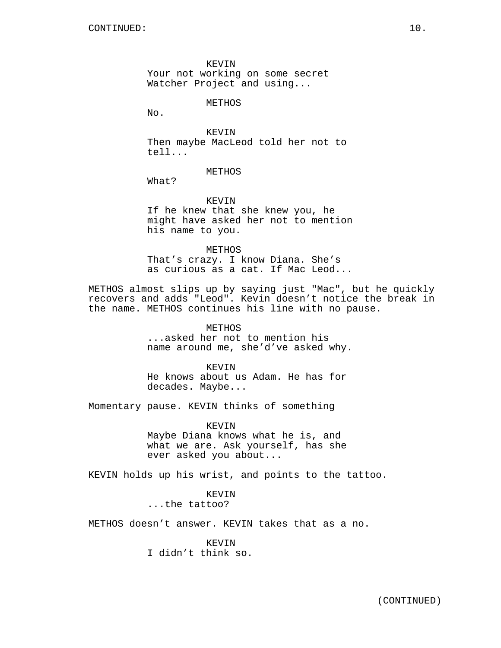KEVIN Your not working on some secret Watcher Project and using...

METHOS

No.

KEVIN Then maybe MacLeod told her not to tell...

METHOS

What?

KEVIN If he knew that she knew you, he might have asked her not to mention his name to you.

METHOS That's crazy. I know Diana. She's as curious as a cat. If Mac Leod...

METHOS almost slips up by saying just "Mac", but he quickly recovers and adds "Leod". Kevin doesn't notice the break in the name. METHOS continues his line with no pause.

> METHOS ...asked her not to mention his name around me, she'd've asked why.

KEVIN He knows about us Adam. He has for decades. Maybe...

Momentary pause. KEVIN thinks of something

KEVIN Maybe Diana knows what he is, and what we are. Ask yourself, has she ever asked you about...

KEVIN holds up his wrist, and points to the tattoo.

KEVIN ...the tattoo?

METHOS doesn't answer. KEVIN takes that as a no.

KEVIN I didn't think so.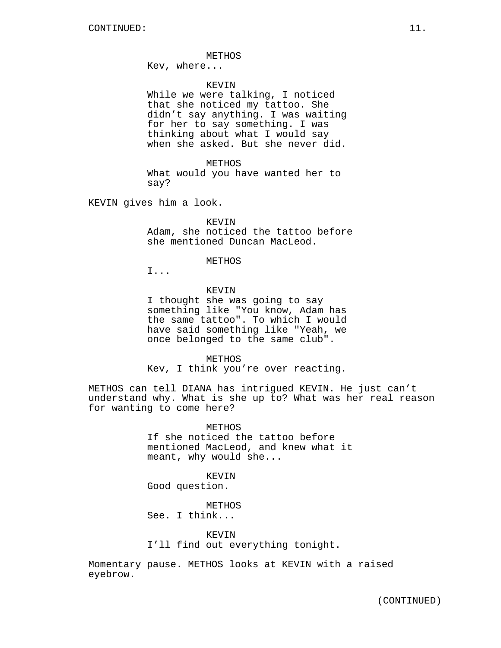#### METHOS

Kev, where...

### KEVIN

While we were talking, I noticed that she noticed my tattoo. She didn't say anything. I was waiting for her to say something. I was thinking about what I would say when she asked. But she never did.

METHOS What would you have wanted her to say?

KEVIN gives him a look.

#### KEVIN

Adam, she noticed the tattoo before she mentioned Duncan MacLeod.

### METHOS

I...

#### KEVIN

I thought she was going to say something like "You know, Adam has the same tattoo". To which I would have said something like "Yeah, we once belonged to the same club".

### METHOS

Kev, I think you're over reacting.

METHOS can tell DIANA has intrigued KEVIN. He just can't understand why. What is she up to? What was her real reason for wanting to come here?

> METHOS If she noticed the tattoo before mentioned MacLeod, and knew what it meant, why would she...

### KEVIN

Good question.

**METHOS** See. I think...

KEVIN I'll find out everything tonight.

Momentary pause. METHOS looks at KEVIN with a raised eyebrow.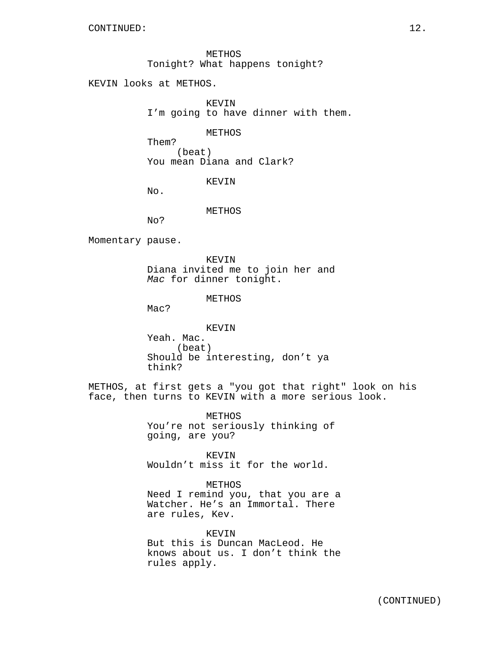METHOS Tonight? What happens tonight?

KEVIN looks at METHOS.

KEVIN I'm going to have dinner with them.

METHOS

Them? (beat) You mean Diana and Clark?

KEVIN

No.

METHOS

No?

Momentary pause.

KEVIN Diana invited me to join her and Mac for dinner tonight.

METHOS

Mac?

KEVIN

Yeah. Mac. (beat) Should be interesting, don't ya think?

METHOS, at first gets a "you got that right" look on his face, then turns to KEVIN with a more serious look.

> METHOS You're not seriously thinking of going, are you?

KEVIN Wouldn't miss it for the world.

METHOS

Need I remind you, that you are a Watcher. He's an Immortal. There are rules, Kev.

KEVIN But this is Duncan MacLeod. He knows about us. I don't think the rules apply.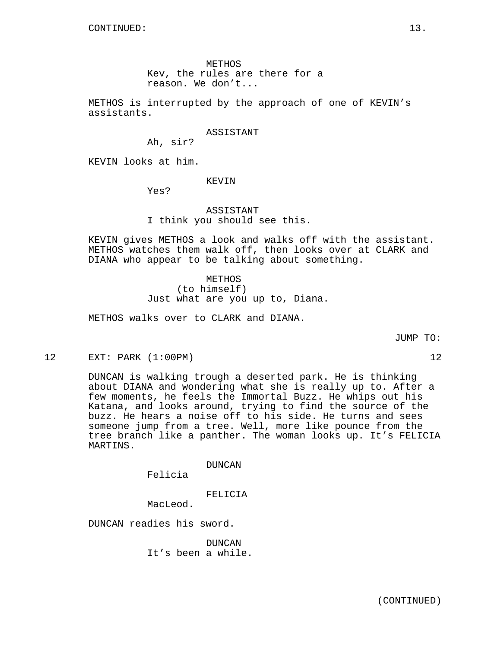METHOS Kev, the rules are there for a reason. We don't...

METHOS is interrupted by the approach of one of KEVIN's assistants.

## ASSISTANT

Ah, sir?

KEVIN looks at him.

### KEVIN

Yes?

## ASSISTANT I think you should see this.

KEVIN gives METHOS a look and walks off with the assistant. METHOS watches them walk off, then looks over at CLARK and DIANA who appear to be talking about something.

> METHOS (to himself) Just what are you up to, Diana.

METHOS walks over to CLARK and DIANA.

JUMP TO:

12 EXT: PARK (1:00PM) 12

DUNCAN is walking trough a deserted park. He is thinking about DIANA and wondering what she is really up to. After a few moments, he feels the Immortal Buzz. He whips out his Katana, and looks around, trying to find the source of the buzz. He hears a noise off to his side. He turns and sees someone jump from a tree. Well, more like pounce from the tree branch like a panther. The woman looks up. It's FELICIA MARTINS.

DUNCAN

Felicia

FELICIA

MacLeod.

DUNCAN readies his sword.

DUNCAN It's been a while.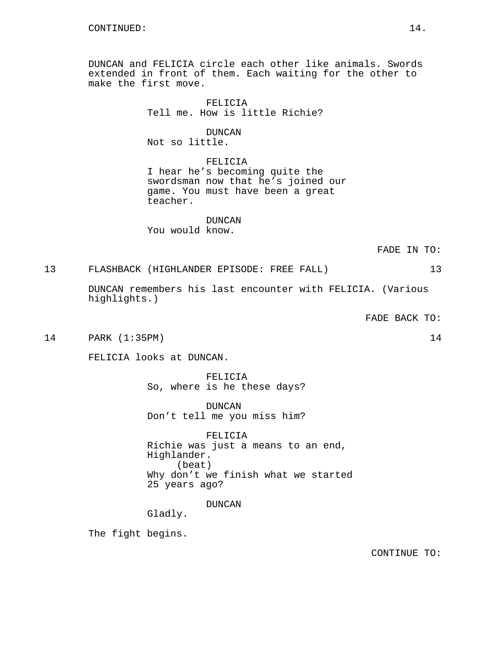DUNCAN and FELICIA circle each other like animals. Swords extended in front of them. Each waiting for the other to make the first move.

> FELICIA Tell me. How is little Richie?

DUNCAN Not so little.

FELICIA I hear he's becoming quite the swordsman now that he's joined our game. You must have been a great teacher.

DUNCAN You would know.

## 13 FLASHBACK (HIGHLANDER EPISODE: FREE FALL) 13

DUNCAN remembers his last encounter with FELICIA. (Various highlights.)

FADE BACK TO:

14 PARK (1:35PM) 14

FELICIA looks at DUNCAN.

FELICIA So, where is he these days?

DUNCAN Don't tell me you miss him?

FELICIA Richie was just a means to an end, Highlander. (beat) Why don't we finish what we started 25 years ago?

DUNCAN

Gladly.

The fight begins.

CONTINUE TO: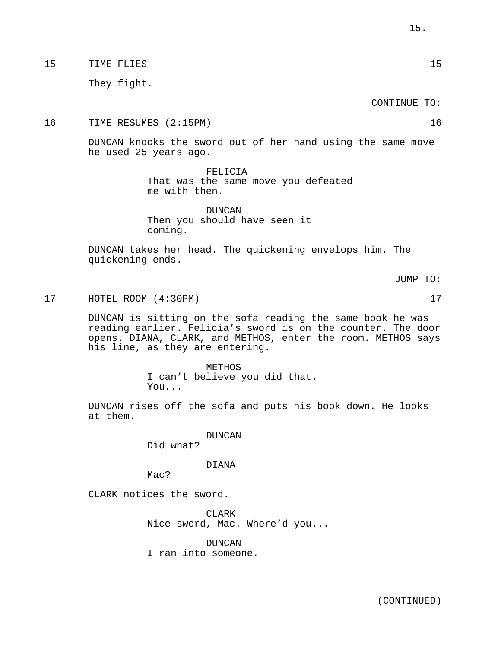15 TIME FLIES 25 20 15

They fight.

CONTINUE TO:

16 TIME RESUMES (2:15PM) 16

DUNCAN knocks the sword out of her hand using the same move he used 25 years ago.

### FELICIA That was the same move you defeated me with then.

DUNCAN Then you should have seen it coming.

DUNCAN takes her head. The quickening envelops him. The quickening ends.

JUMP TO:

17 HOTEL ROOM (4:30PM) 17

DUNCAN is sitting on the sofa reading the same book he was reading earlier. Felicia's sword is on the counter. The door opens. DIANA, CLARK, and METHOS, enter the room. METHOS says his line, as they are entering.

> METHOS I can't believe you did that. You...

DUNCAN rises off the sofa and puts his book down. He looks at them.

DUNCAN

Did what?

### DIANA

Mac?

CLARK notices the sword.

CLARK Nice sword, Mac. Where'd you...

### DUNCAN

I ran into someone.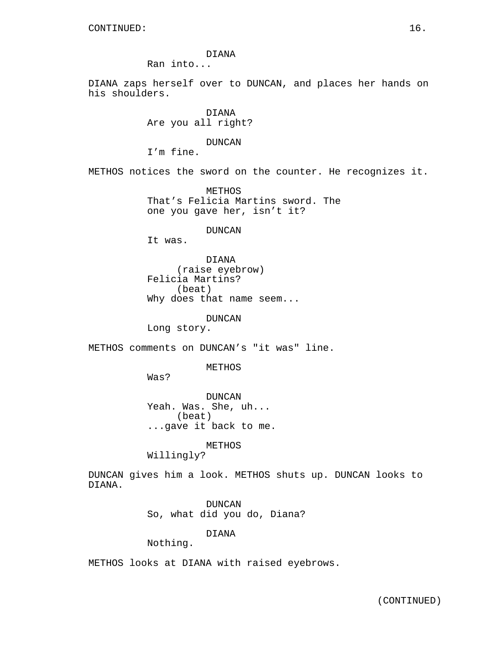DIANA Ran into...

DIANA zaps herself over to DUNCAN, and places her hands on his shoulders.

> DIANA Are you all right?

#### DUNCAN

I'm fine.

METHOS notices the sword on the counter. He recognizes it.

METHOS That's Felicia Martins sword. The one you gave her, isn't it?

DUNCAN

It was.

DIANA (raise eyebrow) Felicia Martins? (beat) Why does that name seem...

### DUNCAN

Long story.

METHOS comments on DUNCAN's "it was" line.

#### METHOS

Was?

DUNCAN Yeah. Was. She, uh... (beat) ...gave it back to me.

METHOS

Willingly?

DUNCAN gives him a look. METHOS shuts up. DUNCAN looks to DIANA.

> DUNCAN So, what did you do, Diana?

> > DIANA

Nothing.

METHOS looks at DIANA with raised eyebrows.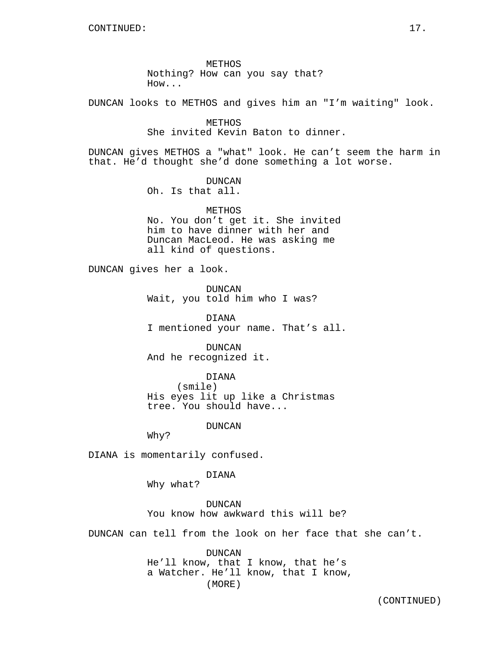METHOS Nothing? How can you say that? How...

DUNCAN looks to METHOS and gives him an "I'm waiting" look.

METHOS She invited Kevin Baton to dinner.

DUNCAN gives METHOS a "what" look. He can't seem the harm in that. He'd thought she'd done something a lot worse.

> DUNCAN Oh. Is that all.

METHOS No. You don't get it. She invited him to have dinner with her and Duncan MacLeod. He was asking me all kind of questions.

DUNCAN gives her a look.

DUNCAN Wait, you told him who I was?

DIANA I mentioned your name. That's all.

DUNCAN And he recognized it.

DIANA

(smile) His eyes lit up like a Christmas tree. You should have...

DUNCAN

Why?

DIANA is momentarily confused.

DIANA

Why what?

DUNCAN You know how awkward this will be?

DUNCAN can tell from the look on her face that she can't.

DUNCAN He'll know, that I know, that he's a Watcher. He'll know, that I know, (MORE)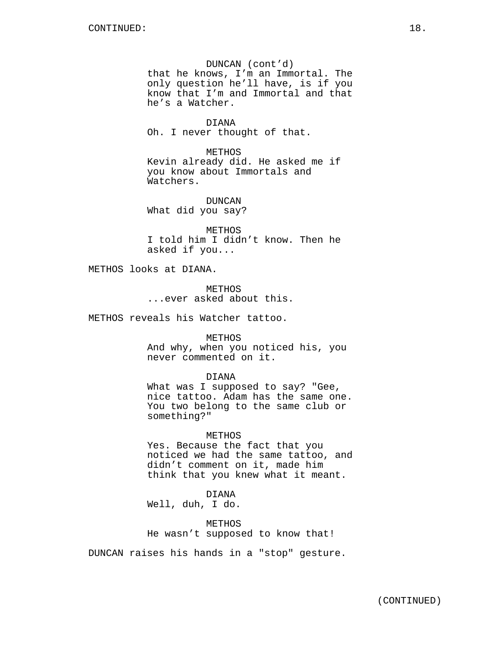DUNCAN (cont'd) that he knows, I'm an Immortal. The only question he'll have, is if you know that I'm and Immortal and that he's a Watcher.

DIANA Oh. I never thought of that.

METHOS Kevin already did. He asked me if you know about Immortals and Watchers.

DUNCAN What did you say?

METHOS I told him I didn't know. Then he asked if you...

METHOS looks at DIANA.

METHOS ...ever asked about this.

METHOS reveals his Watcher tattoo.

METHOS

And why, when you noticed his, you never commented on it.

DIANA

What was I supposed to say? "Gee, nice tattoo. Adam has the same one. You two belong to the same club or something?"

#### METHOS

Yes. Because the fact that you noticed we had the same tattoo, and didn't comment on it, made him think that you knew what it meant.

### DIANA

Well, duh, I do.

METHOS He wasn't supposed to know that!

DUNCAN raises his hands in a "stop" gesture.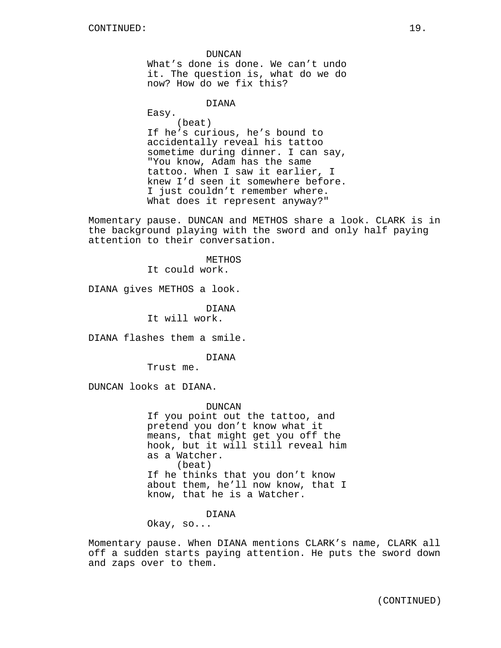DUNCAN What's done is done. We can't undo it. The question is, what do we do now? How do we fix this?

DIANA

Easy. (beat) If he's curious, he's bound to accidentally reveal his tattoo sometime during dinner. I can say, "You know, Adam has the same tattoo. When I saw it earlier, I knew I'd seen it somewhere before. I just couldn't remember where. What does it represent anyway?"

Momentary pause. DUNCAN and METHOS share a look. CLARK is in the background playing with the sword and only half paying attention to their conversation.

> METHOS It could work.

DIANA gives METHOS a look.

DIANA It will work.

DIANA flashes them a smile.

DIANA

Trust me.

DUNCAN looks at DIANA.

DUNCAN If you point out the tattoo, and pretend you don't know what it means, that might get you off the hook, but it will still reveal him as a Watcher. (beat) If he thinks that you don't know about them, he'll now know, that I know, that he is a Watcher.

### DIANA

Okay, so...

Momentary pause. When DIANA mentions CLARK's name, CLARK all off a sudden starts paying attention. He puts the sword down and zaps over to them.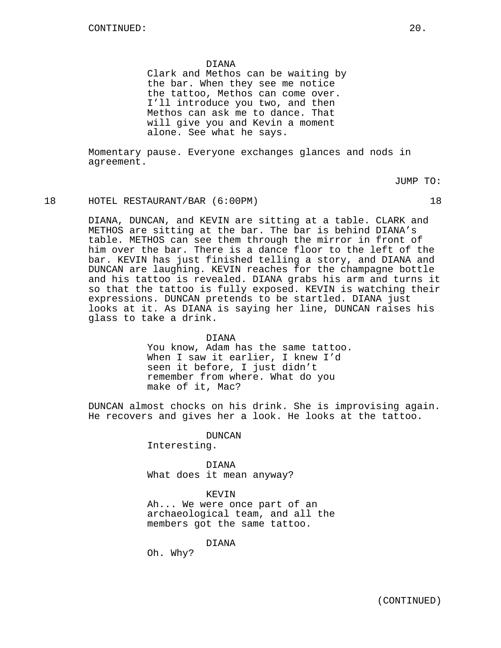#### DIANA

Clark and Methos can be waiting by the bar. When they see me notice the tattoo, Methos can come over. I'll introduce you two, and then Methos can ask me to dance. That will give you and Kevin a moment alone. See what he says.

Momentary pause. Everyone exchanges glances and nods in agreement.

JUMP TO:

#### 18 HOTEL RESTAURANT/BAR (6:00PM) 18

DIANA, DUNCAN, and KEVIN are sitting at a table. CLARK and METHOS are sitting at the bar. The bar is behind DIANA's table. METHOS can see them through the mirror in front of him over the bar. There is a dance floor to the left of the bar. KEVIN has just finished telling a story, and DIANA and DUNCAN are laughing. KEVIN reaches for the champagne bottle and his tattoo is revealed. DIANA grabs his arm and turns it so that the tattoo is fully exposed. KEVIN is watching their expressions. DUNCAN pretends to be startled. DIANA just looks at it. As DIANA is saying her line, DUNCAN raises his glass to take a drink.

#### DIANA

You know, Adam has the same tattoo. When I saw it earlier, I knew I'd seen it before, I just didn't remember from where. What do you make of it, Mac?

DUNCAN almost chocks on his drink. She is improvising again. He recovers and gives her a look. He looks at the tattoo.

### DUNCAN

Interesting.

## DIANA

What does it mean anyway?

### KEVIN

Ah... We were once part of an archaeological team, and all the members got the same tattoo.

DIANA

Oh. Why?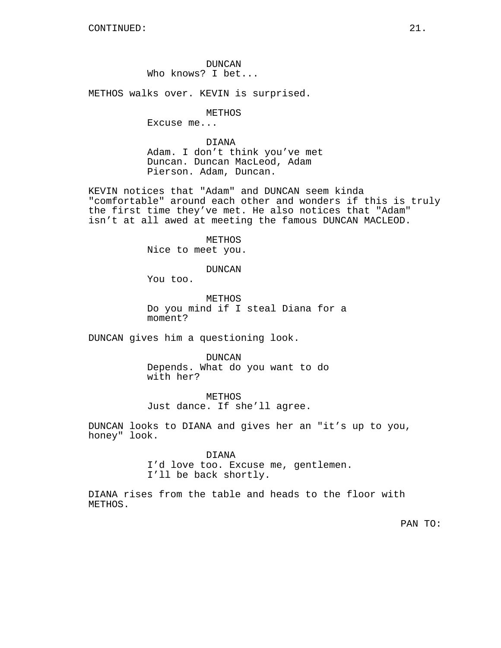DUNCAN Who knows? I bet...

METHOS walks over. KEVIN is surprised.

## METHOS

Excuse me...

#### DIANA

Adam. I don't think you've met Duncan. Duncan MacLeod, Adam Pierson. Adam, Duncan.

KEVIN notices that "Adam" and DUNCAN seem kinda "comfortable" around each other and wonders if this is truly the first time they've met. He also notices that "Adam" isn't at all awed at meeting the famous DUNCAN MACLEOD.

> METHOS Nice to meet you.

> > DUNCAN

You too.

METHOS Do you mind if I steal Diana for a moment?

DUNCAN gives him a questioning look.

DUNCAN Depends. What do you want to do with her?

METHOS Just dance. If she'll agree.

DUNCAN looks to DIANA and gives her an "it's up to you, honey" look.

#### DIANA

I'd love too. Excuse me, gentlemen. I'll be back shortly.

DIANA rises from the table and heads to the floor with METHOS.

PAN TO: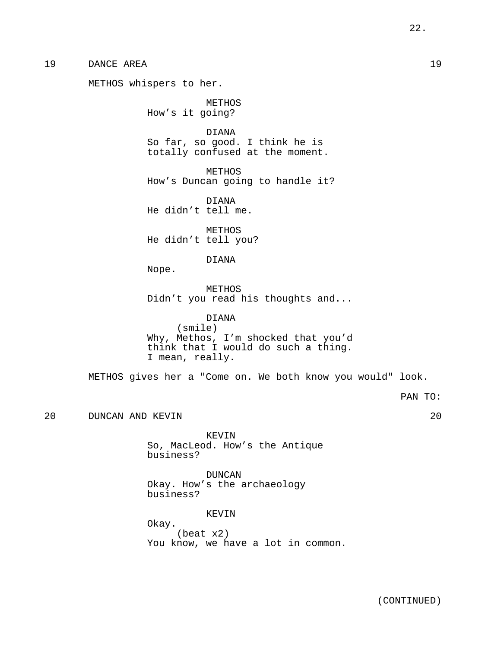## 19 DANCE AREA 19

METHOS whispers to her.

METHOS How's it going?

DIANA So far, so good. I think he is totally confused at the moment.

METHOS How's Duncan going to handle it?

DIANA He didn't tell me.

METHOS He didn't tell you?

## DIANA

Nope.

METHOS Didn't you read his thoughts and...

DIANA (smile) Why, Methos, I'm shocked that you'd think that I would do such a thing. I mean, really.

METHOS gives her a "Come on. We both know you would" look.

PAN TO:

20 DUNCAN AND KEVIN 20

KEVIN So, MacLeod. How's the Antique business?

DUNCAN Okay. How's the archaeology business?

KEVIN

Okay. (beat x2) You know, we have a lot in common.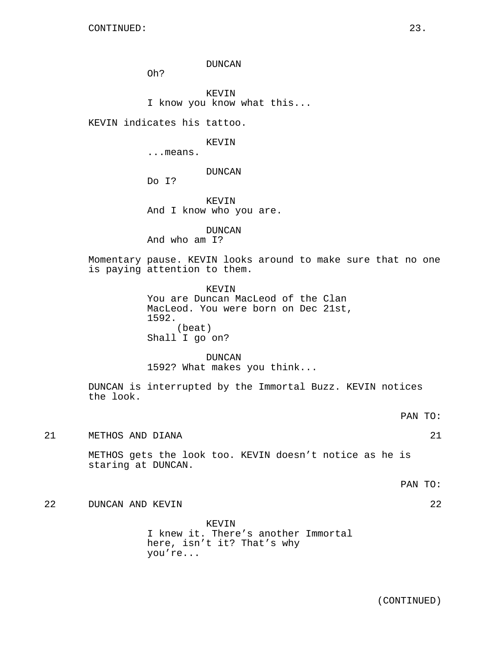### DUNCAN

Oh?

KEVIN I know you know what this...

KEVIN indicates his tattoo.

#### KEVIN

...means.

#### DUNCAN

Do I?

KEVIN And I know who you are.

DUNCAN

And who am I?

Momentary pause. KEVIN looks around to make sure that no one is paying attention to them.

> KEVIN You are Duncan MacLeod of the Clan MacLeod. You were born on Dec 21st, 1592. (beat) Shall I go on?

## DUNCAN

1592? What makes you think...

DUNCAN is interrupted by the Immortal Buzz. KEVIN notices the look.

PAN TO:

21 METHOS AND DIANA 21

METHOS gets the look too. KEVIN doesn't notice as he is staring at DUNCAN.

PAN TO:

22 DUNCAN AND KEVIN 22

KEVIN I knew it. There's another Immortal here, isn't it? That's why you're...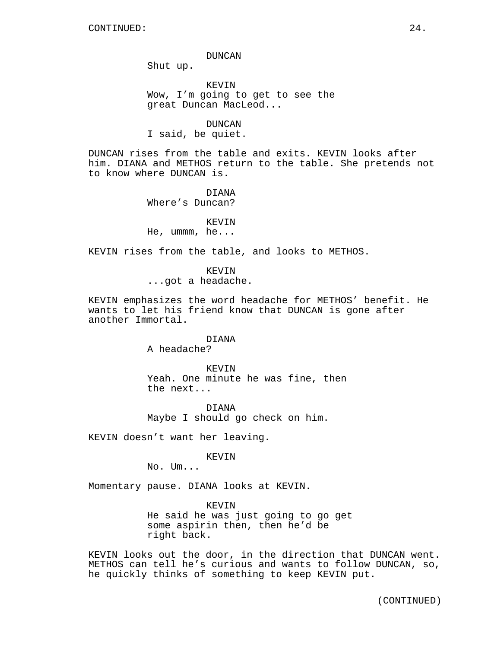#### DUNCAN

Shut up.

KEVIN Wow, I'm going to get to see the great Duncan MacLeod...

DUNCAN I said, be quiet.

DUNCAN rises from the table and exits. KEVIN looks after him. DIANA and METHOS return to the table. She pretends not to know where DUNCAN is.

> DIANA Where's Duncan?

> > KEVIN

He, ummm, he...

KEVIN rises from the table, and looks to METHOS.

KEVIN ...got a headache.

KEVIN emphasizes the word headache for METHOS' benefit. He wants to let his friend know that DUNCAN is gone after another Immortal.

### DIANA

A headache?

KEVIN Yeah. One minute he was fine, then the next...

DIANA Maybe I should go check on him.

KEVIN doesn't want her leaving.

KEVIN

No. Um...

Momentary pause. DIANA looks at KEVIN.

**KEVIN** He said he was just going to go get some aspirin then, then he'd be right back.

KEVIN looks out the door, in the direction that DUNCAN went. METHOS can tell he's curious and wants to follow DUNCAN, so, he quickly thinks of something to keep KEVIN put.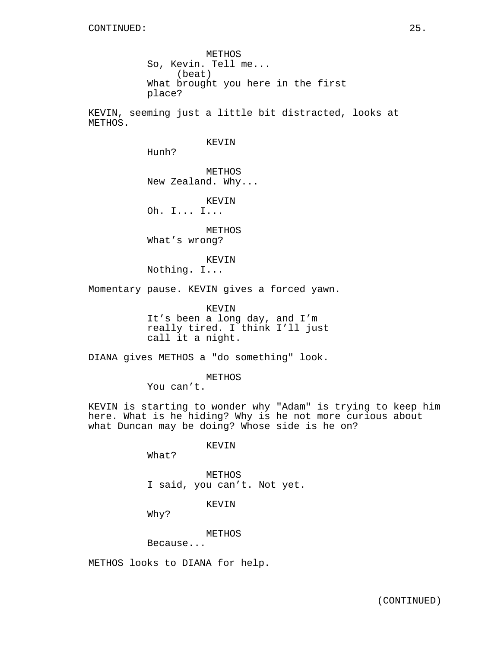METHOS So, Kevin. Tell me... (beat) What brought you here in the first place?

KEVIN, seeming just a little bit distracted, looks at METHOS.

KEVIN

Hunh?

METHOS New Zealand. Why...

KEVIN Oh. I... I...

METHOS What's wrong?

KEVIN

Nothing. I...

Momentary pause. KEVIN gives a forced yawn.

KEVIN It's been a long day, and I'm really tired. I think I'll just call it a night.

DIANA gives METHOS a "do something" look.

METHOS

You can't.

KEVIN is starting to wonder why "Adam" is trying to keep him here. What is he hiding? Why is he not more curious about what Duncan may be doing? Whose side is he on?

KEVIN

What?

METHOS I said, you can't. Not yet.

KEVIN

Why?

METHOS

Because...

METHOS looks to DIANA for help.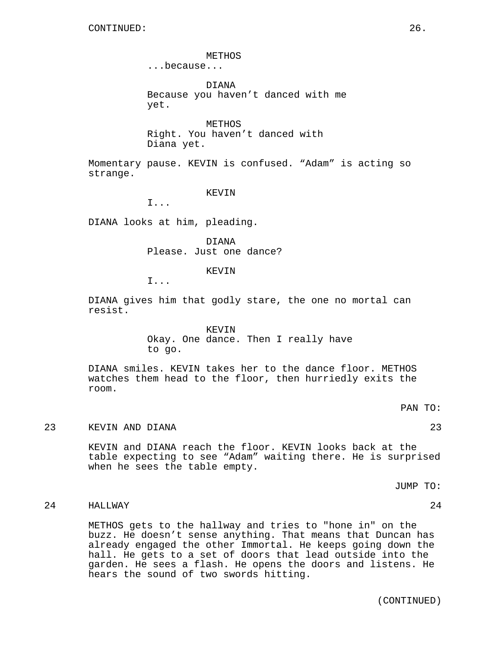METHOS

...because...

DIANA Because you haven't danced with me yet.

METHOS Right. You haven't danced with Diana yet.

Momentary pause. KEVIN is confused. "Adam" is acting so strange.

#### KEVIN

I...

DIANA looks at him, pleading.

DIANA Please. Just one dance?

## KEVIN

I...

DIANA gives him that godly stare, the one no mortal can resist.

> KEVIN Okay. One dance. Then I really have to go.

DIANA smiles. KEVIN takes her to the dance floor. METHOS watches them head to the floor, then hurriedly exits the room.

## 23 KEVIN AND DIANA 23

KEVIN and DIANA reach the floor. KEVIN looks back at the table expecting to see "Adam" waiting there. He is surprised when he sees the table empty.

JUMP TO:

## 24 HALLWAY 24

METHOS gets to the hallway and tries to "hone in" on the buzz. He doesn't sense anything. That means that Duncan has already engaged the other Immortal. He keeps going down the hall. He gets to a set of doors that lead outside into the garden. He sees a flash. He opens the doors and listens. He hears the sound of two swords hitting.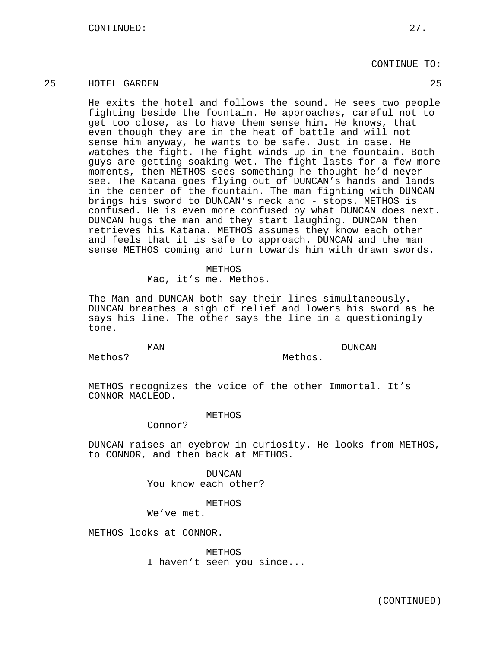## CONTINUE TO:

### 25 HOTEL GARDEN 25

He exits the hotel and follows the sound. He sees two people fighting beside the fountain. He approaches, careful not to get too close, as to have them sense him. He knows, that even though they are in the heat of battle and will not sense him anyway, he wants to be safe. Just in case. He watches the fight. The fight winds up in the fountain. Both guys are getting soaking wet. The fight lasts for a few more moments, then METHOS sees something he thought he'd never see. The Katana goes flying out of DUNCAN's hands and lands in the center of the fountain. The man fighting with DUNCAN brings his sword to DUNCAN's neck and - stops. METHOS is confused. He is even more confused by what DUNCAN does next. DUNCAN hugs the man and they start laughing. DUNCAN then retrieves his Katana. METHOS assumes they know each other and feels that it is safe to approach. DUNCAN and the man sense METHOS coming and turn towards him with drawn swords.

#### METHOS

Mac, it's me. Methos.

The Man and DUNCAN both say their lines simultaneously. DUNCAN breathes a sigh of relief and lowers his sword as he says his line. The other says the line in a questioningly tone.

MAN

DUNCAN

Methos?

Methos.

METHOS recognizes the voice of the other Immortal. It's CONNOR MACLEOD.

#### METHOS

Connor?

DUNCAN raises an eyebrow in curiosity. He looks from METHOS, to CONNOR, and then back at METHOS.

> DUNCAN You know each other?

> > METHOS

We've met.

METHOS looks at CONNOR.

METHOS I haven't seen you since...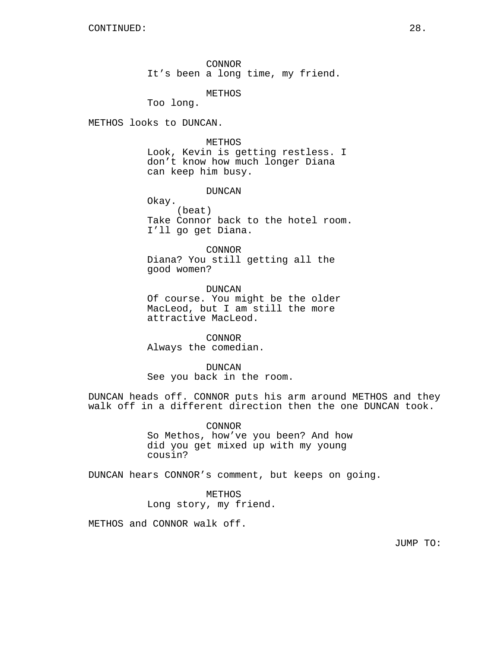CONNOR It's been a long time, my friend.

METHOS

Too long.

METHOS looks to DUNCAN.

METHOS Look, Kevin is getting restless. I don't know how much longer Diana can keep him busy.

DUNCAN

Okay. (beat) Take Connor back to the hotel room. I'll go get Diana.

CONNOR Diana? You still getting all the good women?

DUNCAN Of course. You might be the older MacLeod, but I am still the more attractive MacLeod.

CONNOR Always the comedian.

DUNCAN See you back in the room.

DUNCAN heads off. CONNOR puts his arm around METHOS and they walk off in a different direction then the one DUNCAN took.

> CONNOR So Methos, how've you been? And how did you get mixed up with my young cousin?

DUNCAN hears CONNOR's comment, but keeps on going.

METHOS Long story, my friend.

METHOS and CONNOR walk off.

JUMP TO: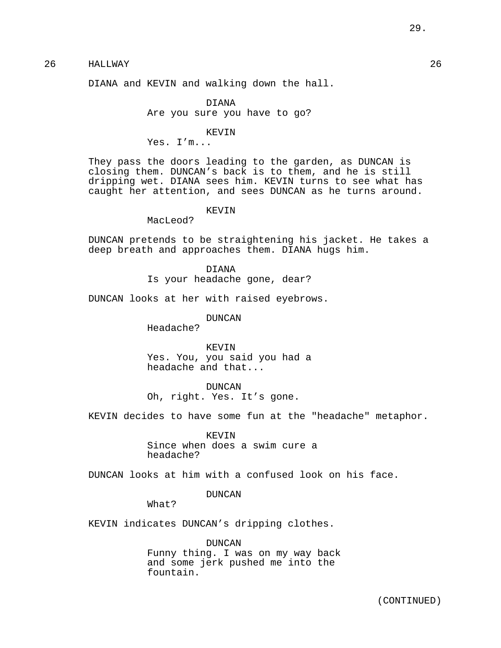## 26 HALLWAY 26

DIANA and KEVIN and walking down the hall.

DIANA Are you sure you have to go?

### KEVIN

Yes. I'm...

They pass the doors leading to the garden, as DUNCAN is closing them. DUNCAN's back is to them, and he is still dripping wet. DIANA sees him. KEVIN turns to see what has caught her attention, and sees DUNCAN as he turns around.

#### KEVIN

MacLeod?

DUNCAN pretends to be straightening his jacket. He takes a deep breath and approaches them. DIANA hugs him.

> DIANA Is your headache gone, dear?

DUNCAN looks at her with raised eyebrows.

DUNCAN

Headache?

KEVIN Yes. You, you said you had a headache and that...

#### DUNCAN

Oh, right. Yes. It's gone.

KEVIN decides to have some fun at the "headache" metaphor.

KEVIN Since when does a swim cure a headache?

DUNCAN looks at him with a confused look on his face.

### DUNCAN

What?

KEVIN indicates DUNCAN's dripping clothes.

DUNCAN Funny thing. I was on my way back and some jerk pushed me into the fountain.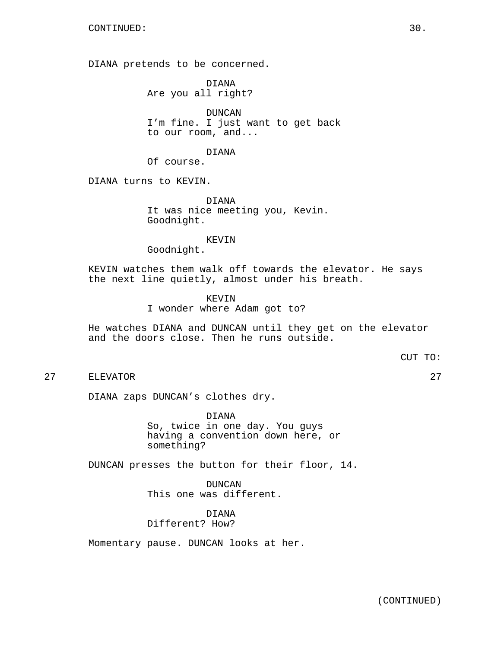DIANA pretends to be concerned.

DIANA Are you all right?

DUNCAN I'm fine. I just want to get back to our room, and...

### DIANA

Of course.

DIANA turns to KEVIN.

DIANA It was nice meeting you, Kevin. Goodnight.

KEVIN

Goodnight.

KEVIN watches them walk off towards the elevator. He says the next line quietly, almost under his breath.

> KEVIN I wonder where Adam got to?

He watches DIANA and DUNCAN until they get on the elevator and the doors close. Then he runs outside.

27 ELEVATOR 27

DIANA zaps DUNCAN's clothes dry.

DIANA So, twice in one day. You guys having a convention down here, or something?

DUNCAN presses the button for their floor, 14.

DUNCAN This one was different.

DIANA Different? How?

Momentary pause. DUNCAN looks at her.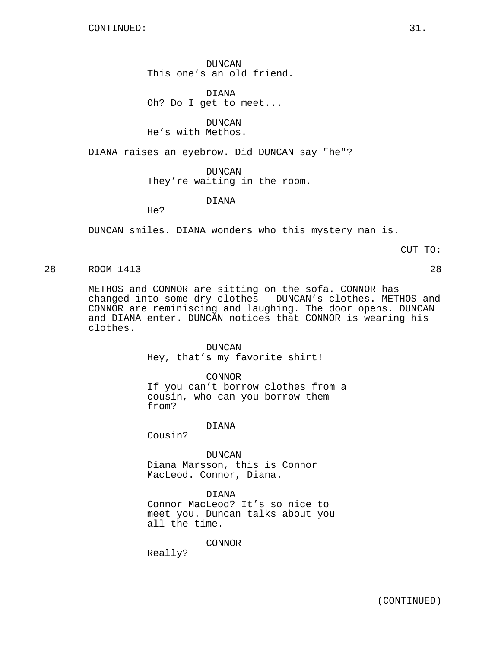DUNCAN This one's an old friend.

DIANA Oh? Do I get to meet...

DUNCAN He's with Methos.

DIANA raises an eyebrow. Did DUNCAN say "he"?

DUNCAN

They're waiting in the room.

DIANA

He?

DUNCAN smiles. DIANA wonders who this mystery man is.

CUT TO:

28 ROOM 1413 28

METHOS and CONNOR are sitting on the sofa. CONNOR has changed into some dry clothes - DUNCAN's clothes. METHOS and CONNOR are reminiscing and laughing. The door opens. DUNCAN and DIANA enter. DUNCAN notices that CONNOR is wearing his clothes.

> DUNCAN Hey, that's my favorite shirt!

CONNOR If you can't borrow clothes from a

cousin, who can you borrow them from?

DIANA

Cousin?

DUNCAN Diana Marsson, this is Connor MacLeod. Connor, Diana.

DIANA

Connor MacLeod? It's so nice to meet you. Duncan talks about you all the time.

CONNOR

Really?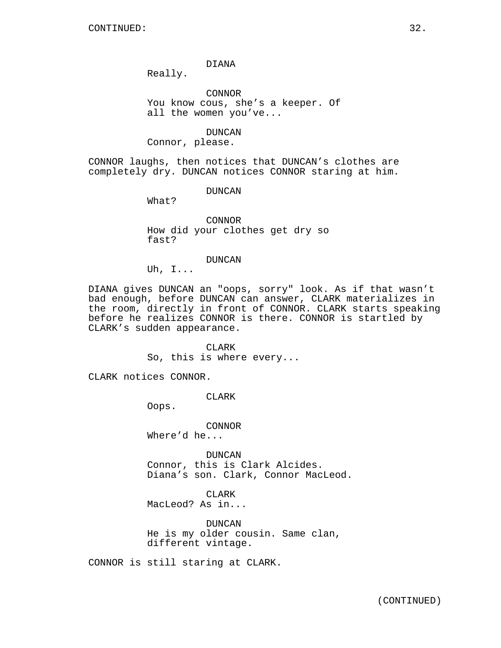### DIANA

Really.

CONNOR You know cous, she's a keeper. Of all the women you've...

DUNCAN Connor, please.

CONNOR laughs, then notices that DUNCAN's clothes are completely dry. DUNCAN notices CONNOR staring at him.

DUNCAN

What?

CONNOR How did your clothes get dry so fast?

#### DUNCAN

Uh, I...

DIANA gives DUNCAN an "oops, sorry" look. As if that wasn't bad enough, before DUNCAN can answer, CLARK materializes in the room, directly in front of CONNOR. CLARK starts speaking before he realizes CONNOR is there. CONNOR is startled by CLARK's sudden appearance.

> CLARK So, this is where every...

CLARK notices CONNOR.

CLARK

Oops.

CONNOR Where'd he...

DUNCAN Connor, this is Clark Alcides. Diana's son. Clark, Connor MacLeod.

CLARK MacLeod? As in...

DUNCAN He is my older cousin. Same clan, different vintage.

CONNOR is still staring at CLARK.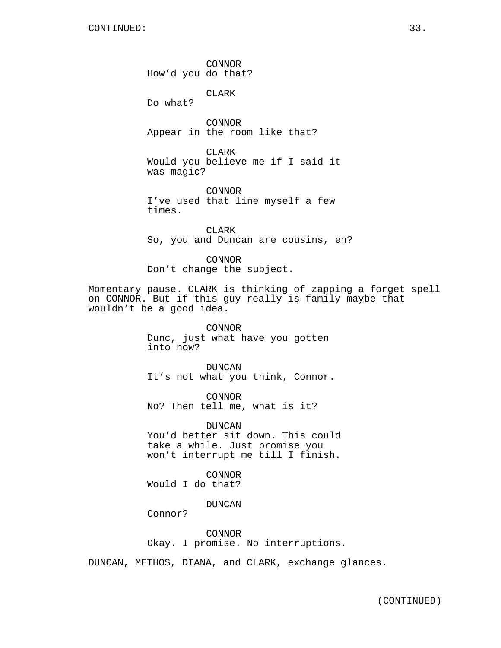CONNOR How'd you do that?

CLARK

Do what?

CONNOR Appear in the room like that?

CLARK Would you believe me if I said it was magic?

CONNOR I've used that line myself a few times.

CLARK So, you and Duncan are cousins, eh?

CONNOR Don't change the subject.

Momentary pause. CLARK is thinking of zapping a forget spell on CONNOR. But if this guy really is family maybe that wouldn't be a good idea.

> CONNOR Dunc, just what have you gotten into now?

DUNCAN It's not what you think, Connor.

CONNOR No? Then tell me, what is it?

DUNCAN You'd better sit down. This could take a while. Just promise you won't interrupt me till I finish.

CONNOR Would I do that?

DUNCAN

Connor?

CONNOR Okay. I promise. No interruptions.

DUNCAN, METHOS, DIANA, and CLARK, exchange glances.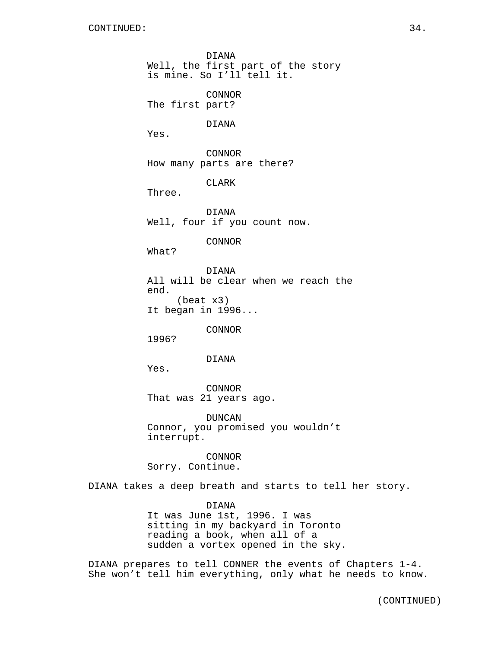DIANA Well, the first part of the story is mine. So I'll tell it. CONNOR The first part? DIANA Yes. CONNOR How many parts are there? CLARK Three. DIANA Well, four if you count now. CONNOR What? DIANA All will be clear when we reach the end. (beat x3) It began in 1996... CONNOR 1996? DIANA Yes. CONNOR That was 21 years ago. DUNCAN Connor, you promised you wouldn't interrupt.

CONNOR Sorry. Continue.

DIANA takes a deep breath and starts to tell her story.

DIANA It was June 1st, 1996. I was sitting in my backyard in Toronto reading a book, when all of a sudden a vortex opened in the sky.

DIANA prepares to tell CONNER the events of Chapters 1-4. She won't tell him everything, only what he needs to know.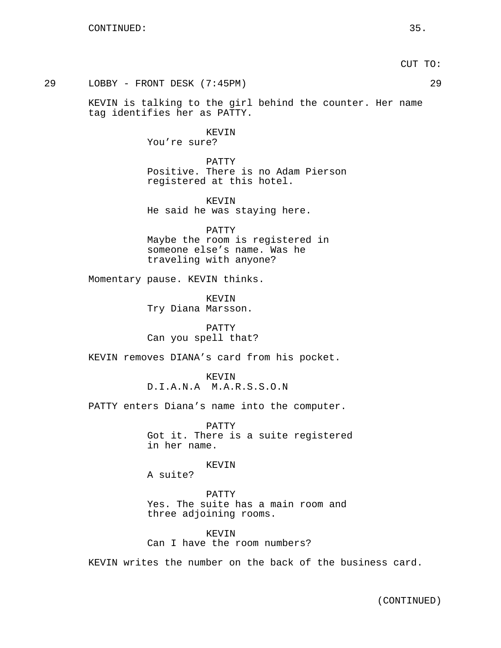29 LOBBY - FRONT DESK (7:45PM) 29

KEVIN is talking to the girl behind the counter. Her name tag identifies her as PATTY.

> KEVIN You're sure?

PATTY Positive. There is no Adam Pierson registered at this hotel.

KEVIN He said he was staying here.

PATTY Maybe the room is registered in someone else's name. Was he traveling with anyone?

Momentary pause. KEVIN thinks.

KEVIN Try Diana Marsson.

PATTY Can you spell that?

KEVIN removes DIANA's card from his pocket.

KEVIN D.I.A.N.A M.A.R.S.S.O.N

PATTY enters Diana's name into the computer.

PATTY Got it. There is a suite registered in her name.

KEVIN

A suite?

PATTY Yes. The suite has a main room and three adjoining rooms.

KEVIN Can I have the room numbers?

KEVIN writes the number on the back of the business card.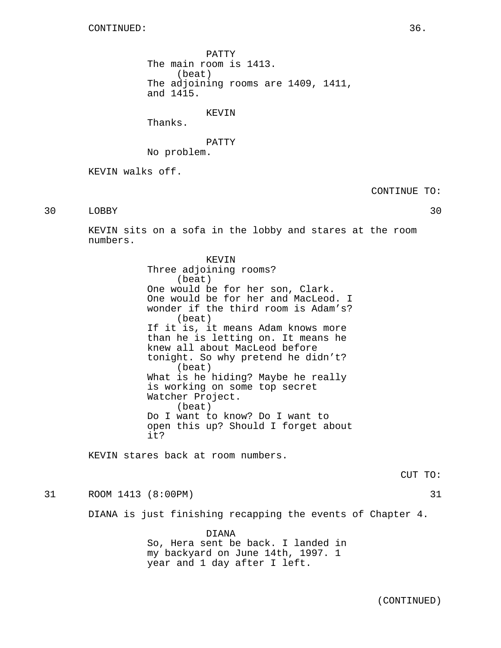PATTY The main room is 1413. (beat) The adjoining rooms are 1409, 1411, and 1415.

KEVIN

Thanks.

PATTY

No problem.

KEVIN walks off.

CONTINUE TO:

30 LOBBY 30

KEVIN sits on a sofa in the lobby and stares at the room numbers.

> KEVIN Three adjoining rooms? (beat) One would be for her son, Clark. One would be for her and MacLeod. I wonder if the third room is Adam's? (beat) If it is, it means Adam knows more than he is letting on. It means he knew all about MacLeod before tonight. So why pretend he didn't? (beat) What is he hiding? Maybe he really is working on some top secret Watcher Project. (beat) Do I want to know? Do I want to open this up? Should I forget about it?

KEVIN stares back at room numbers.

31 ROOM 1413 (8:00PM) 31

DIANA is just finishing recapping the events of Chapter 4.

DIANA So, Hera sent be back. I landed in my backyard on June 14th, 1997. 1 year and 1 day after I left.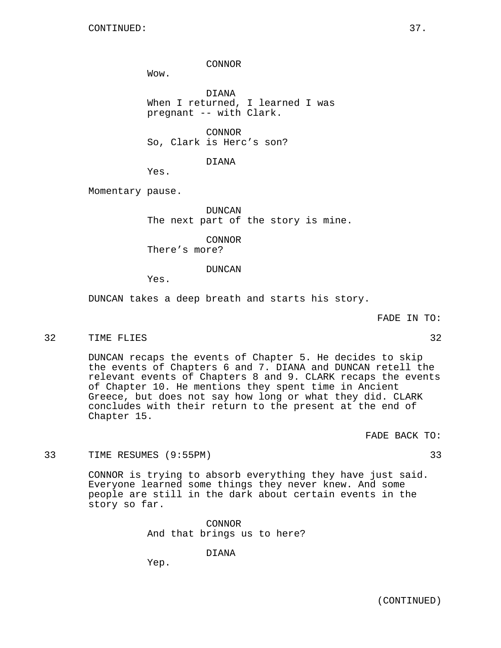CONNOR

Wow.

DIANA When I returned, I learned I was pregnant -- with Clark.

CONNOR So, Clark is Herc's son?

DIANA

Yes.

Momentary pause.

DUNCAN The next part of the story is mine.

CONNOR There's more?

DUNCAN

Yes.

DUNCAN takes a deep breath and starts his story.

FADE IN TO:

### 32 TIME FLIES 32

DUNCAN recaps the events of Chapter 5. He decides to skip the events of Chapters 6 and 7. DIANA and DUNCAN retell the relevant events of Chapters 8 and 9. CLARK recaps the events of Chapter 10. He mentions they spent time in Ancient Greece, but does not say how long or what they did. CLARK concludes with their return to the present at the end of Chapter 15.

FADE BACK TO:

### 33 TIME RESUMES (9:55PM) 33

CONNOR is trying to absorb everything they have just said. Everyone learned some things they never knew. And some people are still in the dark about certain events in the story so far.

> CONNOR And that brings us to here?

> > DIANA

Yep.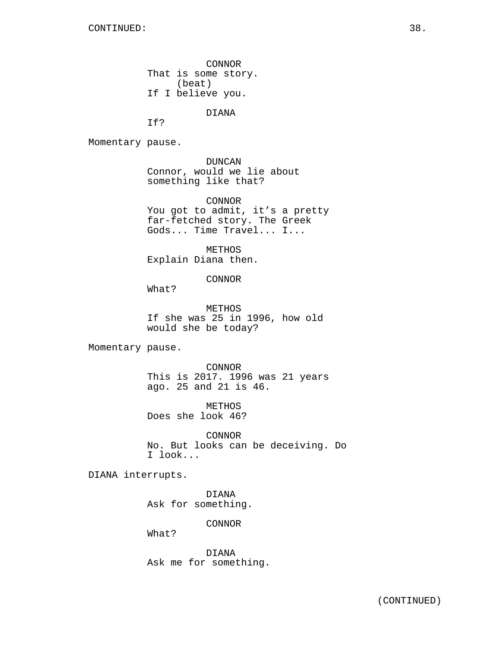CONNOR That is some story. (beat) If I believe you.

DIANA

If?

Momentary pause.

DUNCAN Connor, would we lie about something like that?

CONNOR You got to admit, it's a pretty far-fetched story. The Greek Gods... Time Travel... I...

METHOS Explain Diana then.

CONNOR

What?

METHOS If she was 25 in 1996, how old would she be today?

Momentary pause.

CONNOR This is 2017. 1996 was 21 years ago. 25 and 21 is 46.

METHOS Does she look 46?

CONNOR No. But looks can be deceiving. Do I look...

DIANA interrupts.

DIANA Ask for something.

CONNOR

What?

DIANA Ask me for something.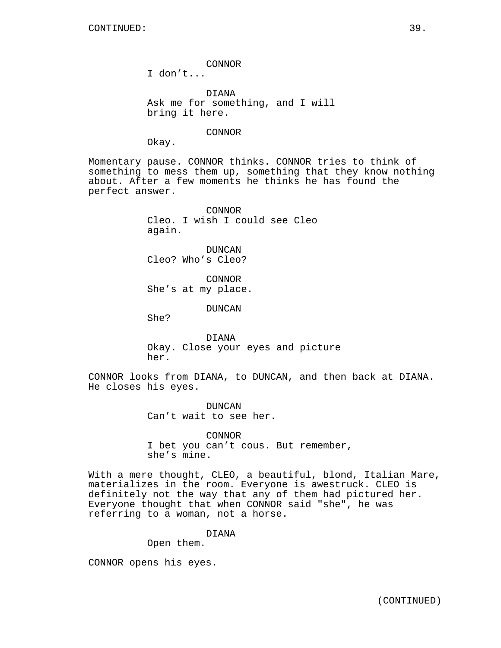CONNOR

I don't...

DIANA Ask me for something, and I will bring it here.

CONNOR

Okay.

Momentary pause. CONNOR thinks. CONNOR tries to think of something to mess them up, something that they know nothing about. After a few moments he thinks he has found the perfect answer.

> CONNOR Cleo. I wish I could see Cleo again.

DUNCAN Cleo? Who's Cleo?

CONNOR She's at my place.

DUNCAN

She?

DIANA Okay. Close your eyes and picture her.

CONNOR looks from DIANA, to DUNCAN, and then back at DIANA. He closes his eyes.

> DUNCAN Can't wait to see her.

CONNOR I bet you can't cous. But remember, she's mine.

With a mere thought, CLEO, a beautiful, blond, Italian Mare, materializes in the room. Everyone is awestruck. CLEO is definitely not the way that any of them had pictured her. Everyone thought that when CONNOR said "she", he was referring to a woman, not a horse.

DIANA

Open them.

CONNOR opens his eyes.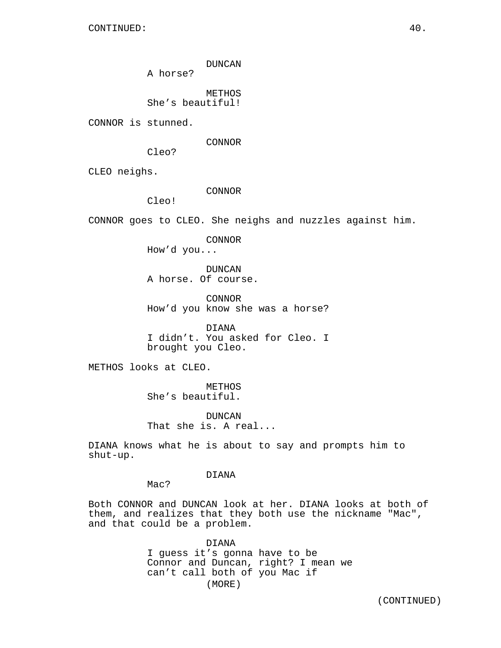DUNCAN

A horse?

**METHOS** She's beautiful!

CONNOR is stunned.

CONNOR

Cleo?

CLEO neighs.

CONNOR

Cleo!

CONNOR goes to CLEO. She neighs and nuzzles against him.

CONNOR

How'd you...

DUNCAN A horse. Of course.

CONNOR How'd you know she was a horse?

DIANA I didn't. You asked for Cleo. I brought you Cleo.

METHOS looks at CLEO.

METHOS She's beautiful.

DUNCAN That she is. A real...

DIANA knows what he is about to say and prompts him to shut-up.

DIANA

Mac?

Both CONNOR and DUNCAN look at her. DIANA looks at both of them, and realizes that they both use the nickname "Mac", and that could be a problem.

> DIANA I guess it's gonna have to be Connor and Duncan, right? I mean we can't call both of you Mac if (MORE)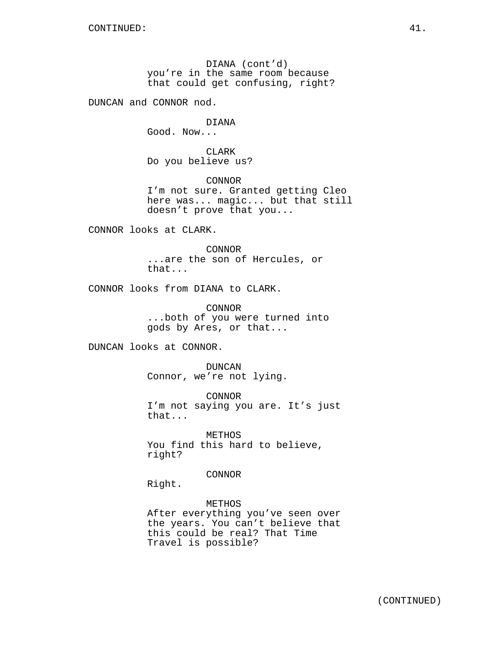DIANA (cont'd) you're in the same room because that could get confusing, right?

DUNCAN and CONNOR nod.

## DIANA

Good. Now...

CLARK Do you believe us?

CONNOR I'm not sure. Granted getting Cleo here was... magic... but that still doesn't prove that you...

CONNOR looks at CLARK.

CONNOR ...are the son of Hercules, or that...

CONNOR looks from DIANA to CLARK.

CONNOR ...both of you were turned into gods by Ares, or that...

DUNCAN looks at CONNOR.

DUNCAN Connor, we're not lying.

CONNOR I'm not saying you are. It's just that...

METHOS You find this hard to believe, right?

CONNOR

Right.

METHOS After everything you've seen over the years. You can't believe that this could be real? That Time Travel is possible?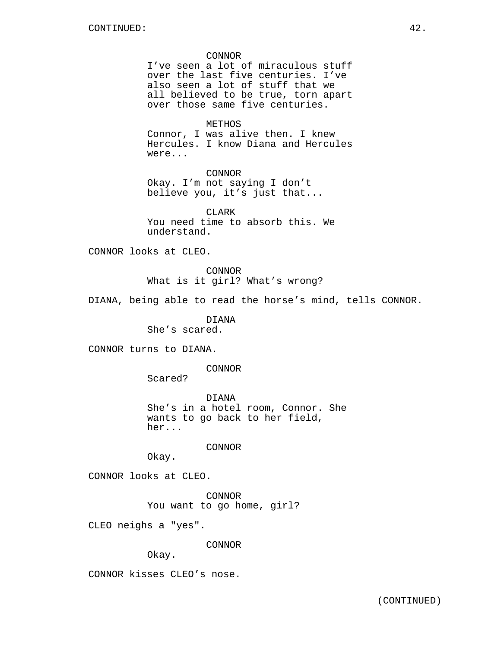#### CONNOR

I've seen a lot of miraculous stuff over the last five centuries. I've also seen a lot of stuff that we all believed to be true, torn apart over those same five centuries.

#### METHOS

Connor, I was alive then. I knew Hercules. I know Diana and Hercules were...

CONNOR

Okay. I'm not saying I don't believe you, it's just that...

CLARK You need time to absorb this. We understand.

CONNOR looks at CLEO.

CONNOR What is it girl? What's wrong?

DIANA, being able to read the horse's mind, tells CONNOR.

DIANA She's scared.

CONNOR turns to DIANA.

CONNOR

Scared?

DIANA She's in a hotel room, Connor. She wants to go back to her field, her...

CONNOR

Okay.

CONNOR looks at CLEO.

CONNOR You want to go home, girl?

CLEO neighs a "yes".

CONNOR

Okay.

CONNOR kisses CLEO's nose.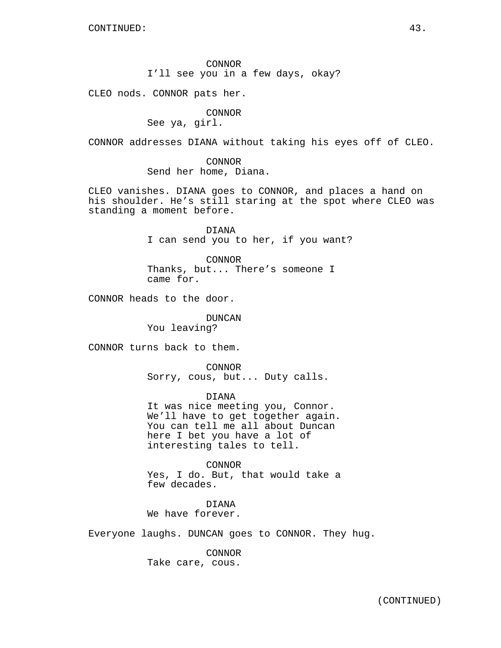CONNOR I'll see you in a few days, okay?

CLEO nods. CONNOR pats her.

CONNOR

See ya, girl.

CONNOR addresses DIANA without taking his eyes off of CLEO.

CONNOR Send her home, Diana.

CLEO vanishes. DIANA goes to CONNOR, and places a hand on his shoulder. He's still staring at the spot where CLEO was standing a moment before.

> DIANA I can send you to her, if you want?

CONNOR Thanks, but... There's someone I came for.

CONNOR heads to the door.

DUNCAN You leaving?

CONNOR turns back to them.

CONNOR Sorry, cous, but... Duty calls.

DIANA It was nice meeting you, Connor. We'll have to get together again. You can tell me all about Duncan here I bet you have a lot of interesting tales to tell.

CONNOR Yes, I do. But, that would take a few decades.

DIANA We have forever.

Everyone laughs. DUNCAN goes to CONNOR. They hug.

CONNOR Take care, cous.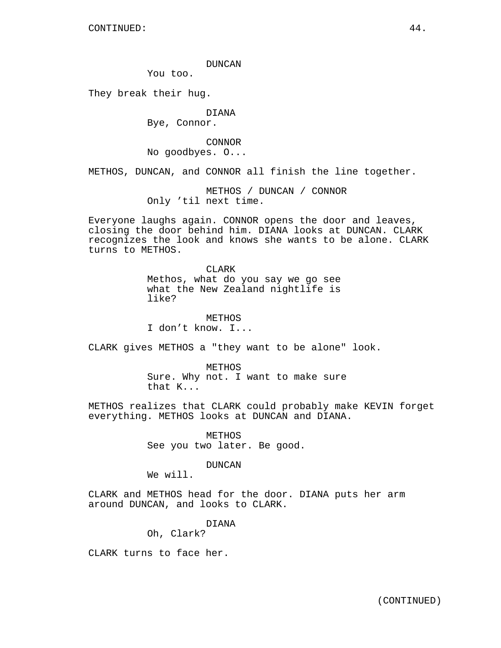DUNCAN

You too.

They break their hug.

DIANA

Bye, Connor.

CONNOR No goodbyes. O...

METHOS, DUNCAN, and CONNOR all finish the line together.

METHOS / DUNCAN / CONNOR Only 'til next time.

Everyone laughs again. CONNOR opens the door and leaves, closing the door behind him. DIANA looks at DUNCAN. CLARK recognizes the look and knows she wants to be alone. CLARK turns to METHOS.

> CLARK Methos, what do you say we go see what the New Zealand nightlife is like?

METHOS I don't know. I...

CLARK gives METHOS a "they want to be alone" look.

METHOS Sure. Why not. I want to make sure that K...

METHOS realizes that CLARK could probably make KEVIN forget everything. METHOS looks at DUNCAN and DIANA.

> METHOS See you two later. Be good.

> > DUNCAN

We will.

CLARK and METHOS head for the door. DIANA puts her arm around DUNCAN, and looks to CLARK.

DIANA

Oh, Clark?

CLARK turns to face her.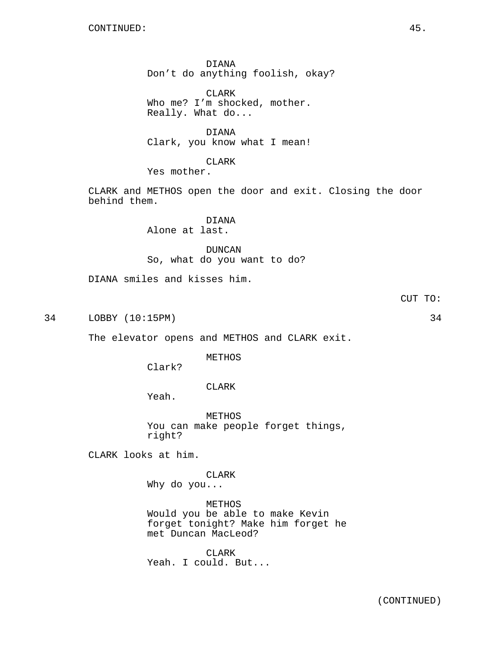DIANA Don't do anything foolish, okay?

CLARK Who me? I'm shocked, mother. Really. What do...

DIANA Clark, you know what I mean!

CLARK Yes mother.

CLARK and METHOS open the door and exit. Closing the door behind them.

> DIANA Alone at last.

> > DUNCAN

So, what do you want to do?

DIANA smiles and kisses him.

34 LOBBY (10:15PM) 34

The elevator opens and METHOS and CLARK exit.

METHOS

Clark?

CLARK

Yeah.

METHOS You can make people forget things, right?

CLARK looks at him.

CLARK

Why do you...

METHOS Would you be able to make Kevin forget tonight? Make him forget he met Duncan MacLeod?

CLARK Yeah. I could. But... CUT TO: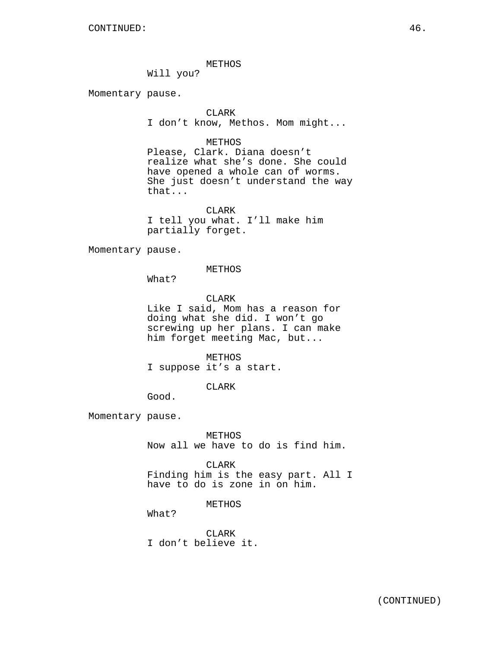METHOS

Will you?

Momentary pause.

### CLARK

I don't know, Methos. Mom might...

#### METHOS

Please, Clark. Diana doesn't realize what she's done. She could have opened a whole can of worms. She just doesn't understand the way that...

CLARK I tell you what. I'll make him partially forget.

Momentary pause.

METHOS

What?

#### CLARK

Like I said, Mom has a reason for doing what she did. I won't go screwing up her plans. I can make him forget meeting Mac, but...

#### METHOS

I suppose it's a start.

### CLARK

Good.

Momentary pause.

METHOS Now all we have to do is find him.

CLARK Finding him is the easy part. All I have to do is zone in on him.

### METHOS

What?

CLARK I don't believe it.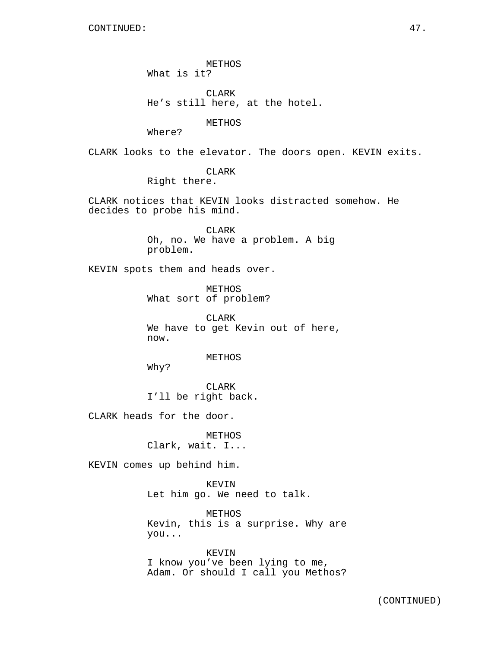METHOS What is it?

CLARK He's still here, at the hotel.

METHOS

Where?

CLARK looks to the elevator. The doors open. KEVIN exits.

CLARK

Right there.

CLARK notices that KEVIN looks distracted somehow. He decides to probe his mind.

> CLARK Oh, no. We have a problem. A big problem.

KEVIN spots them and heads over.

METHOS What sort of problem?

CLARK We have to get Kevin out of here, now.

METHOS

Why?

CLARK I'll be right back.

CLARK heads for the door.

METHOS Clark, wait. I...

KEVIN comes up behind him.

KEVIN Let him go. We need to talk.

METHOS Kevin, this is a surprise. Why are you...

KEVIN I know you've been lying to me, Adam. Or should I call you Methos?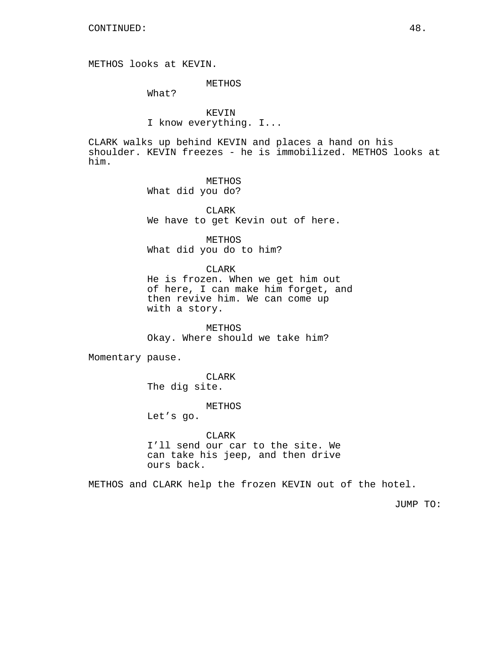METHOS looks at KEVIN.

METHOS

What?

KEVIN I know everything. I...

CLARK walks up behind KEVIN and places a hand on his shoulder. KEVIN freezes - he is immobilized. METHOS looks at him.

> METHOS What did you do?

CLARK We have to get Kevin out of here.

METHOS What did you do to him?

CLARK He is frozen. When we get him out of here, I can make him forget, and then revive him. We can come up with a story.

METHOS Okay. Where should we take him?

Momentary pause.

CLARK The dig site.

METHOS

Let's go.

CLARK

I'll send our car to the site. We can take his jeep, and then drive ours back.

METHOS and CLARK help the frozen KEVIN out of the hotel.

JUMP TO: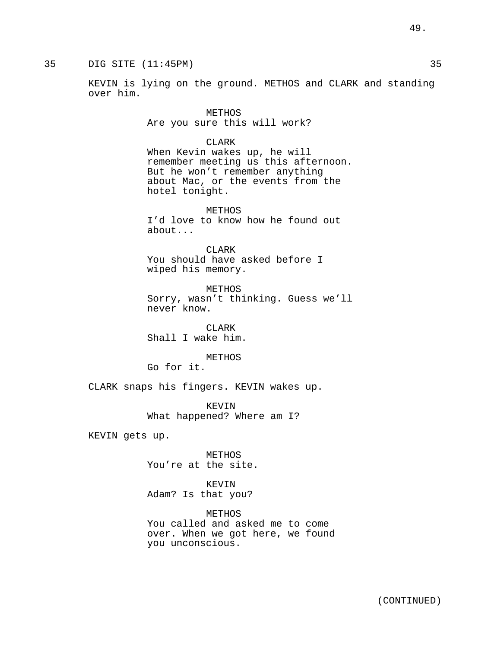KEVIN is lying on the ground. METHOS and CLARK and standing over him.

> METHOS Are you sure this will work?

### CLARK

When Kevin wakes up, he will remember meeting us this afternoon. But he won't remember anything about Mac, or the events from the hotel tonight.

METHOS I'd love to know how he found out about...

CLARK You should have asked before I wiped his memory.

METHOS Sorry, wasn't thinking. Guess we'll never know.

CLARK Shall I wake him.

# METHOS

Go for it.

CLARK snaps his fingers. KEVIN wakes up.

KEVIN What happened? Where am I?

KEVIN gets up.

METHOS You're at the site.

KEVIN Adam? Is that you?

METHOS You called and asked me to come over. When we got here, we found you unconscious.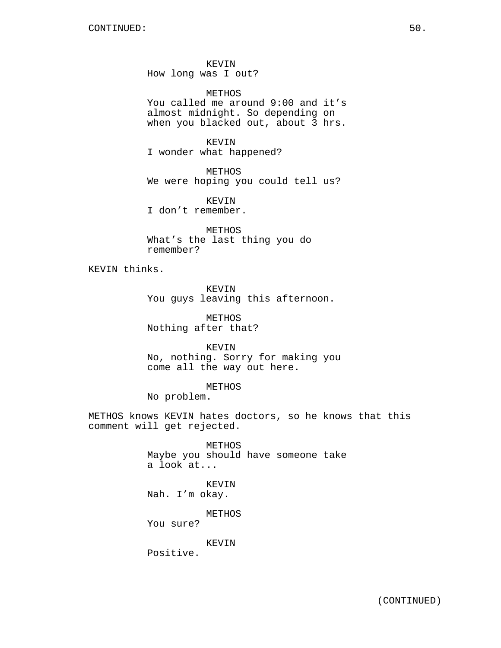KEVIN How long was I out?

METHOS You called me around 9:00 and it's almost midnight. So depending on when you blacked out, about 3 hrs.

KEVIN I wonder what happened?

METHOS We were hoping you could tell us?

KEVIN I don't remember.

METHOS What's the last thing you do remember?

KEVIN thinks.

KEVIN You guys leaving this afternoon.

METHOS Nothing after that?

KEVIN No, nothing. Sorry for making you come all the way out here.

METHOS

No problem.

METHOS knows KEVIN hates doctors, so he knows that this comment will get rejected.

> METHOS Maybe you should have someone take a look at...

KEVIN Nah. I'm okay.

METHOS

You sure?

KEVIN

Positive.